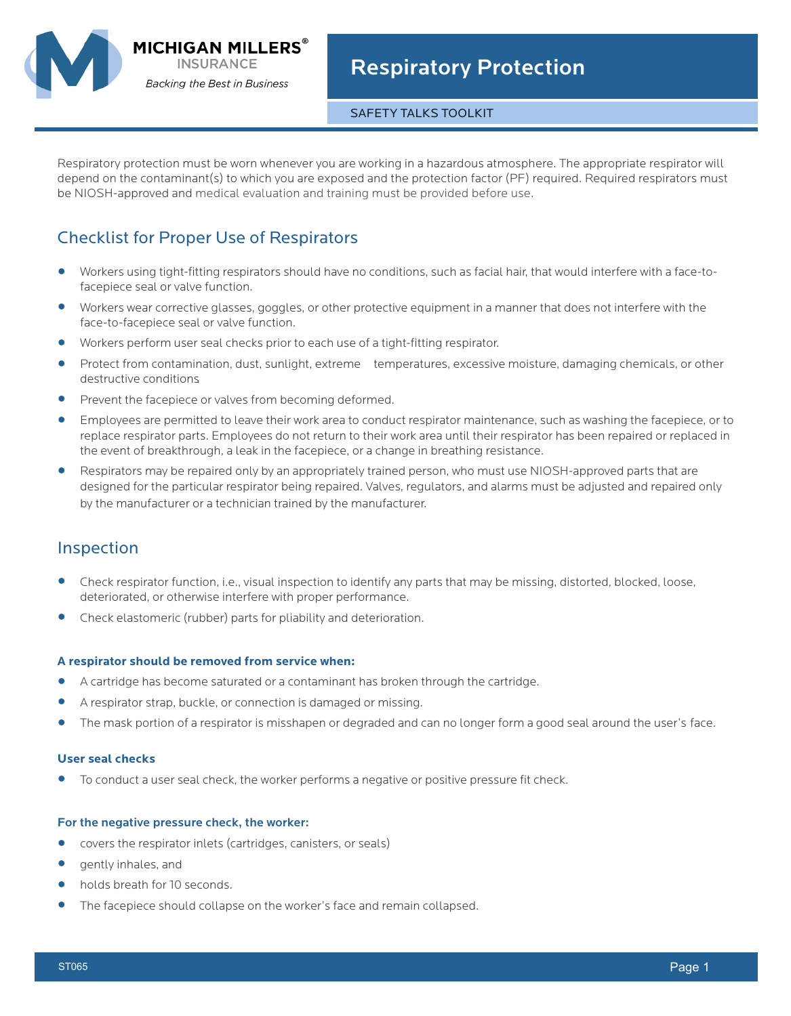

**MICHIGAN MILLERS INSURANCE Backing the Best in Business** 

## SAFETY TALKS TOOLKIT

Respiratory protection must be worn whenever you are working in a hazardous atmosphere. The appropriate respirator will depend on the contaminant(s) to which you are exposed and the protection factor (PF) required. Required respirators must be NIOSH-approved and medical evaluation and training must be provided before use.

# Checklist for Proper Use of Respirators

- **•** Workers using tight-fitting respirators should have no conditions, such as facial hair, that would interfere with a face-tofacepiece seal or valve function.
- **•** Workers wear corrective glasses, goggles, or other protective equipment in a manner that does not interfere with the face-to-facepiece seal or valve function.
- **•** Workers perform user seal checks prior to each use of a tight-fitting respirator.
- Protect from contamination, dust, sunlight, extreme temperatures, excessive moisture, damaging chemicals, or other destructive conditions.
- Prevent the facepiece or valves from becoming deformed.<br>• Employees are permitted to leave their work area to condu
- **•** Employees are permitted to leave their work area to conduct respirator maintenance, such as washing the facepiece, or to replace respirator parts. Employees do not return to their work area until their respirator has been repaired or replaced in the event of breakthrough, a leak in the facepiece, or a change in breathing resistance.
- **•** Respirators may be repaired only by an appropriately trained person, who must use NIOSH-approved parts that are designed for the particular respirator being repaired. Valves, regulators, and alarms must be adjusted and repaired only by the manufacturer or a technician trained by the manufacturer.

# Inspection

- **•** Check respirator function, i.e., visual inspection to identify any parts that may be missing, distorted, blocked, loose, deteriorated, or otherwise interfere with proper performance.
- **•** Check elastomeric (rubber) parts for pliability and deterioration.

#### **A respirator should be removed from service when:**

- **•** A cartridge has become saturated or a contaminant has broken through the cartridge.
- **•** A respirator strap, buckle, or connection is damaged or missing.
- **•** The mask portion of a respirator is misshapen or degraded and can no longer form a good seal around the user's face.

### **User seal checks**

**•** To conduct a user seal check, the worker performs a negative or positive pressure fit check.

#### For the negative pressure check, the worker:

- covers the respirator inlets (cartridges, canisters, or seals)<br>• cently inhales, and
- gently inhales, and<br>• holds breath for 10
- **•** holds breath for 10 seconds.
- **•** The facepiece should collapse on the worker's face and remain collapsed.